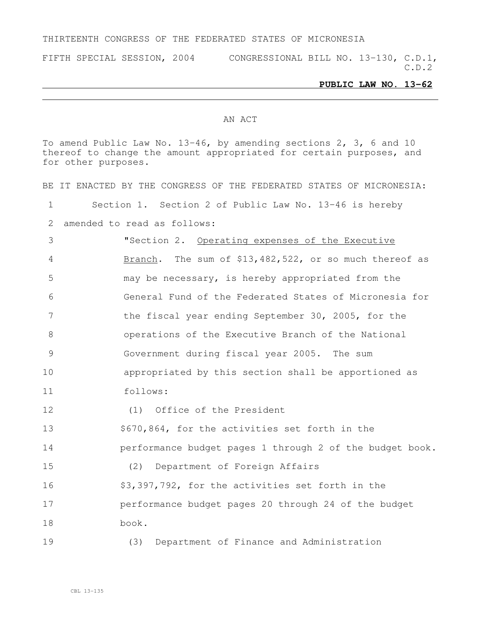#### THIRTEENTH CONGRESS OF THE FEDERATED STATES OF MICRONESIA

FIFTH SPECIAL SESSION, 2004 CONGRESSIONAL BILL NO. 13-130, C.D.1, C.D.2

#### **PUBLIC LAW NO. 13-62**

#### AN ACT

To amend Public Law No. 13-46, by amending sections 2, 3, 6 and 10 thereof to change the amount appropriated for certain purposes, and for other purposes.

BE IT ENACTED BY THE CONGRESS OF THE FEDERATED STATES OF MICRONESIA: Section 1. Section 2 of Public Law No. 13-46 is hereby amended to read as follows: "Section 2. Operating expenses of the Executive Branch. The sum of \$13,482,522, or so much thereof as may be necessary, is hereby appropriated from the General Fund of the Federated States of Micronesia for the fiscal year ending September 30, 2005, for the operations of the Executive Branch of the National Government during fiscal year 2005. The sum appropriated by this section shall be apportioned as follows: (1) Office of the President \$670,864, for the activities set forth in the **performance budget pages 1 through 2 of the budget book.**  (2) Department of Foreign Affairs \$3,397,792, for the activities set forth in the **performance budget pages 20 through 24 of the budget**  book. (3) Department of Finance and Administration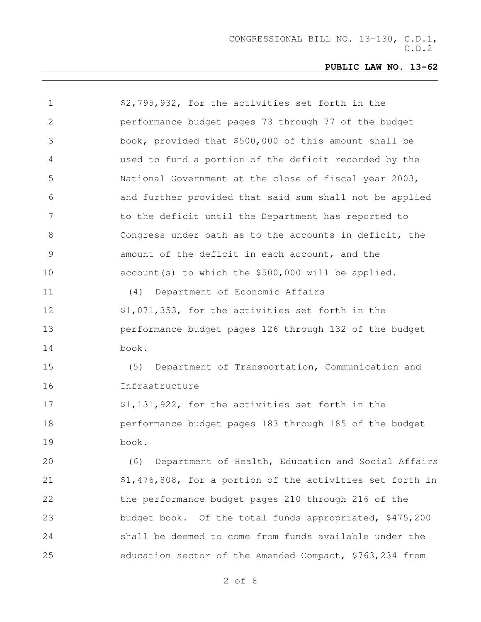| 1  | \$2,795,932, for the activities set forth in the          |
|----|-----------------------------------------------------------|
| 2  | performance budget pages 73 through 77 of the budget      |
| 3  | book, provided that \$500,000 of this amount shall be     |
| 4  | used to fund a portion of the deficit recorded by the     |
| 5  | National Government at the close of fiscal year 2003,     |
| 6  | and further provided that said sum shall not be applied   |
| 7  | to the deficit until the Department has reported to       |
| 8  | Congress under oath as to the accounts in deficit, the    |
| 9  | amount of the deficit in each account, and the            |
| 10 | account (s) to which the \$500,000 will be applied.       |
| 11 | Department of Economic Affairs<br>(4)                     |
| 12 | \$1,071,353, for the activities set forth in the          |
| 13 | performance budget pages 126 through 132 of the budget    |
| 14 | book.                                                     |
| 15 | (5)<br>Department of Transportation, Communication and    |
| 16 | Infrastructure                                            |
| 17 | \$1,131,922, for the activities set forth in the          |
| 18 | performance budget pages 183 through 185 of the budget    |
| 19 | book.                                                     |
| 20 | Department of Health, Education and Social Affairs<br>(6) |
| 21 | \$1,476,808, for a portion of the activities set forth in |
| 22 | the performance budget pages 210 through 216 of the       |
| 23 | budget book. Of the total funds appropriated, \$475,200   |
| 24 | shall be deemed to come from funds available under the    |
| 25 | education sector of the Amended Compact, \$763,234 from   |
|    |                                                           |

of 6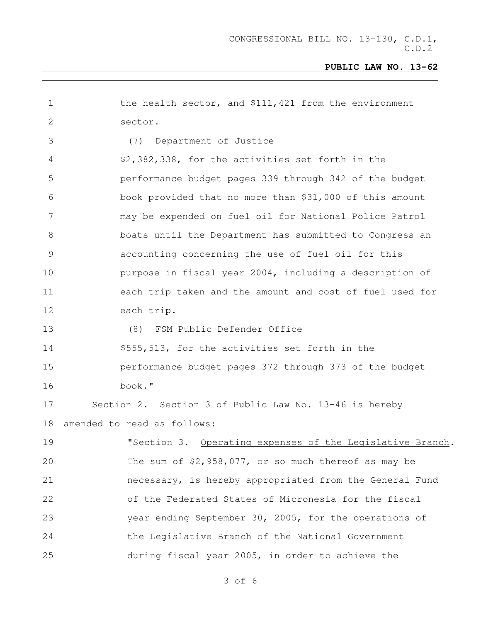| 1            | the health sector, and \$111,421 from the environment     |
|--------------|-----------------------------------------------------------|
| $\mathbf{2}$ | sector.                                                   |
| 3            | Department of Justice<br>(7)                              |
| 4            | \$2,382,338, for the activities set forth in the          |
| 5            | performance budget pages 339 through 342 of the budget    |
| 6            | book provided that no more than \$31,000 of this amount   |
| 7            | may be expended on fuel oil for National Police Patrol    |
| 8            | boats until the Department has submitted to Congress an   |
| 9            | accounting concerning the use of fuel oil for this        |
| 10           | purpose in fiscal year 2004, including a description of   |
| 11           | each trip taken and the amount and cost of fuel used for  |
| 12           | each trip.                                                |
| 13           | (8) FSM Public Defender Office                            |
| 14           | \$555,513, for the activities set forth in the            |
| 15           | performance budget pages 372 through 373 of the budget    |
| 16           | book."                                                    |
| 17           | Section 2. Section 3 of Public Law No. 13-46 is hereby    |
| 18           | amended to read as follows:                               |
| 19           | "Section 3. Operating expenses of the Legislative Branch. |
| 20           | The sum of $$2,958,077$ , or so much thereof as may be    |
| 21           | necessary, is hereby appropriated from the General Fund   |
| 22           | of the Federated States of Micronesia for the fiscal      |
| 23           | year ending September 30, 2005, for the operations of     |
| 24           | the Legislative Branch of the National Government         |
| 25           | during fiscal year 2005, in order to achieve the          |
|              |                                                           |

of 6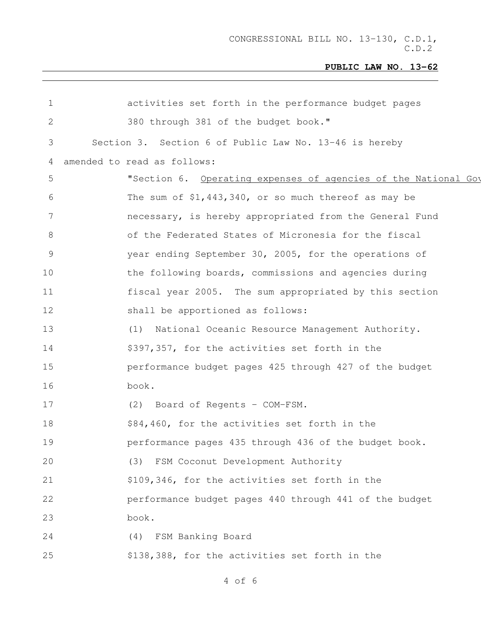| 1            | activities set forth in the performance budget pages           |
|--------------|----------------------------------------------------------------|
| $\mathbf{2}$ | 380 through 381 of the budget book."                           |
| 3            | Section 3. Section 6 of Public Law No. 13-46 is hereby         |
| 4            | amended to read as follows:                                    |
| 5            | "Section 6. Operating expenses of agencies of the National Goy |
| 6            | The sum of $$1,443,340$ , or so much thereof as may be         |
| 7            | necessary, is hereby appropriated from the General Fund        |
| 8            | of the Federated States of Micronesia for the fiscal           |
| 9            | year ending September 30, 2005, for the operations of          |
| 10           | the following boards, commissions and agencies during          |
| 11           | fiscal year 2005. The sum appropriated by this section         |
| 12           | shall be apportioned as follows:                               |
| 13           | National Oceanic Resource Management Authority.<br>(1)         |
| 14           | \$397,357, for the activities set forth in the                 |
| 15           | performance budget pages 425 through 427 of the budget         |
| 16           | book.                                                          |
| 17           | (2) Board of Regents - COM-FSM.                                |
| 18           | \$84,460, for the activities set forth in the                  |
| 19           | performance pages 435 through 436 of the budget book.          |
| 20           | FSM Coconut Development Authority<br>(3)                       |
| 21           | \$109,346, for the activities set forth in the                 |
| 22           | performance budget pages 440 through 441 of the budget         |
| 23           | book.                                                          |
| 24           | FSM Banking Board<br>(4)                                       |
| 25           | \$138,388, for the activities set forth in the                 |
|              |                                                                |

of 6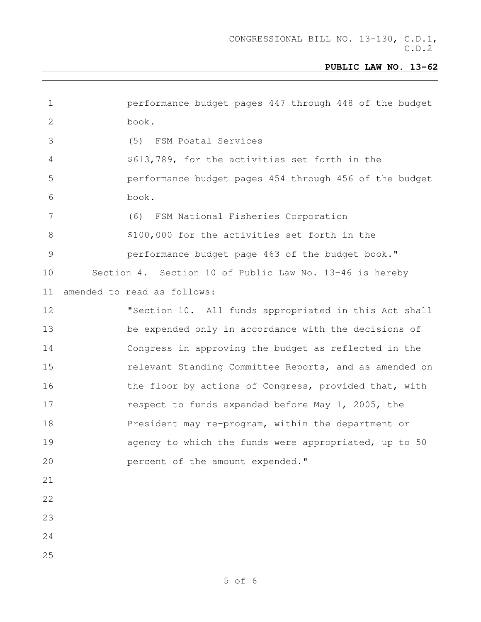| $\mathbf 1$    | performance budget pages 447 through 448 of the budget  |
|----------------|---------------------------------------------------------|
| $\mathbf 2$    | book.                                                   |
| 3              | (5) FSM Postal Services                                 |
| $\overline{4}$ | \$613,789, for the activities set forth in the          |
| 5              | performance budget pages 454 through 456 of the budget  |
| 6              | book.                                                   |
| $7\phantom{.}$ | (6) FSM National Fisheries Corporation                  |
| 8              | \$100,000 for the activities set forth in the           |
| $\mathcal{G}$  | performance budget page 463 of the budget book."        |
| 10             | Section 4. Section 10 of Public Law No. 13-46 is hereby |
| 11             | amended to read as follows:                             |
| 12             | "Section 10. All funds appropriated in this Act shall   |
| 13             | be expended only in accordance with the decisions of    |
| 14             | Congress in approving the budget as reflected in the    |
| 15             | relevant Standing Committee Reports, and as amended on  |
| 16             | the floor by actions of Congress, provided that, with   |
| 17             | respect to funds expended before May 1, 2005, the       |
| 18             | President may re-program, within the department or      |
| 19             | agency to which the funds were appropriated, up to 50   |
| 20             | percent of the amount expended."                        |
| 21             |                                                         |
| 22             |                                                         |
| 23             |                                                         |
| 24             |                                                         |
| 25             |                                                         |
|                |                                                         |